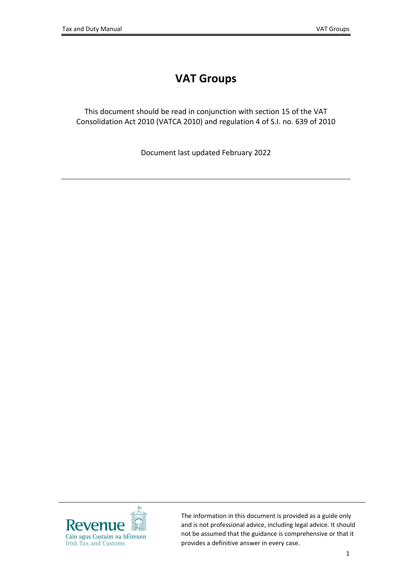# **VAT Groups**

This document should be read in conjunction with section 15 of the VAT Consolidation Act 2010 (VATCA 2010) and regulation 4 of S.I. no. 639 of 2010

Document last updated February 2022



The information in this document is provided as a guide only and is not professional advice, including legal advice. It should not be assumed that the guidance is comprehensive or that it provides a definitive answer in every case.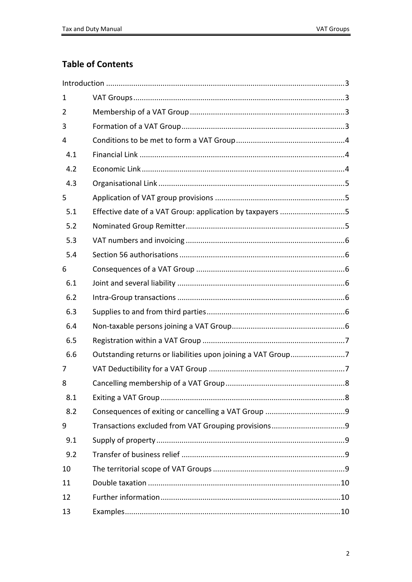## **Table of Contents**

| $\mathbf{1}$   |                                                              |
|----------------|--------------------------------------------------------------|
| $\overline{2}$ |                                                              |
| 3              |                                                              |
| 4              |                                                              |
| 4.1            |                                                              |
| 4.2            |                                                              |
| 4.3            |                                                              |
| 5              |                                                              |
| 5.1            | Effective date of a VAT Group: application by taxpayers 5    |
| 5.2            |                                                              |
| 5.3            |                                                              |
| 5.4            |                                                              |
| 6              |                                                              |
| 6.1            |                                                              |
| 6.2            |                                                              |
| 6.3            |                                                              |
| 6.4            |                                                              |
| 6.5            |                                                              |
| 6.6            | Outstanding returns or liabilities upon joining a VAT Group7 |
| 7              |                                                              |
| 8              |                                                              |
| 8.1            |                                                              |
| 8.2            |                                                              |
| 9              |                                                              |
| 9.1            |                                                              |
| 9.2            |                                                              |
| 10             |                                                              |
| 11             |                                                              |
| 12             |                                                              |
| 13             |                                                              |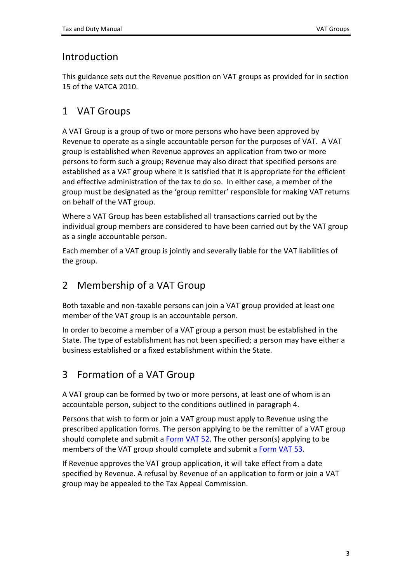## <span id="page-2-0"></span>Introduction

This guidance sets out the Revenue position on VAT groups as provided for in section 15 of the VATCA 2010.

# <span id="page-2-1"></span>1 VAT Groups

A VAT Group is a group of two or more persons who have been approved by Revenue to operate as a single accountable person for the purposes of VAT. A VAT group is established when Revenue approves an application from two or more persons to form such a group; Revenue may also direct that specified persons are established as a VAT group where it is satisfied that it is appropriate for the efficient and effective administration of the tax to do so. In either case, a member of the group must be designated as the 'group remitter' responsible for making VAT returns on behalf of the VAT group.

Where a VAT Group has been established all transactions carried out by the individual group members are considered to have been carried out by the VAT group as a single accountable person.

Each member of a VAT group is jointly and severally liable for the VAT liabilities of the group.

# <span id="page-2-2"></span>2 Membership of a VAT Group

Both taxable and non-taxable persons can join a VAT group provided at least one member of the VAT group is an accountable person.

In order to become a member of a VAT group a person must be established in the State. The type of establishment has not been specified; a person may have either a business established or a fixed establishment within the State.

# <span id="page-2-3"></span>3 Formation of a VAT Group

A VAT group can be formed by two or more persons, at least one of whom is an accountable person, subject to the conditions outlined in paragraph 4.

Persons that wish to form or join a VAT group must apply to Revenue using the prescribed application forms. The person applying to be the remitter of a VAT group should complete and submit a [Form](https://www.revenue.ie/en/vat/documents/form-vat52.pdf) [VAT](https://www.revenue.ie/en/vat/documents/form-vat52.pdf) [52.](https://www.revenue.ie/en/vat/documents/form-vat52.pdf) The other person(s) applying to be members of the VAT group should complete and submit a [Form](https://www.revenue.ie/en/vat/documents/form-vat53.pdf) [VAT](https://www.revenue.ie/en/vat/documents/form-vat53.pdf) [53](https://www.revenue.ie/en/vat/documents/form-vat53.pdf).

If Revenue approves the VAT group application, it will take effect from a date specified by Revenue. A refusal by Revenue of an application to form or join a VAT group may be appealed to the Tax Appeal Commission.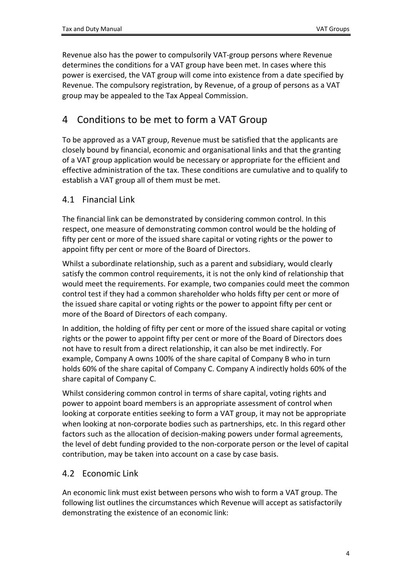Revenue also has the power to compulsorily VAT-group persons where Revenue determines the conditions for a VAT group have been met. In cases where this power is exercised, the VAT group will come into existence from a date specified by Revenue. The compulsory registration, by Revenue, of a group of persons as a VAT group may be appealed to the Tax Appeal Commission.

# <span id="page-3-0"></span>4 Conditions to be met to form a VAT Group

To be approved as a VAT group, Revenue must be satisfied that the applicants are closely bound by financial, economic and organisational links and that the granting of a VAT group application would be necessary or appropriate for the efficient and effective administration of the tax. These conditions are cumulative and to qualify to establish a VAT group all of them must be met.

## <span id="page-3-1"></span>4.1 Financial Link

The financial link can be demonstrated by considering common control. In this respect, one measure of demonstrating common control would be the holding of fifty per cent or more of the issued share capital or voting rights or the power to appoint fifty per cent or more of the Board of Directors.

Whilst a subordinate relationship, such as a parent and subsidiary, would clearly satisfy the common control requirements, it is not the only kind of relationship that would meet the requirements. For example, two companies could meet the common control test if they had a common shareholder who holds fifty per cent or more of the issued share capital or voting rights or the power to appoint fifty per cent or more of the Board of Directors of each company.

In addition, the holding of fifty per cent or more of the issued share capital or voting rights or the power to appoint fifty per cent or more of the Board of Directors does not have to result from a direct relationship, it can also be met indirectly. For example, Company A owns 100% of the share capital of Company B who in turn holds 60% of the share capital of Company C. Company A indirectly holds 60% of the share capital of Company C.

Whilst considering common control in terms of share capital, voting rights and power to appoint board members is an appropriate assessment of control when looking at corporate entities seeking to form a VAT group, it may not be appropriate when looking at non-corporate bodies such as partnerships, etc. In this regard other factors such as the allocation of decision-making powers under formal agreements, the level of debt funding provided to the non-corporate person or the level of capital contribution, may be taken into account on a case by case basis.

## <span id="page-3-2"></span>4.2 Economic Link

An economic link must exist between persons who wish to form a VAT group. The following list outlines the circumstances which Revenue will accept as satisfactorily demonstrating the existence of an economic link: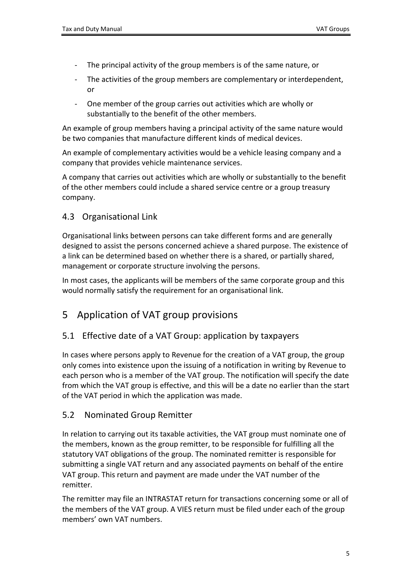- The principal activity of the group members is of the same nature, or
- The activities of the group members are complementary or interdependent, or
- One member of the group carries out activities which are wholly or substantially to the benefit of the other members.

An example of group members having a principal activity of the same nature would be two companies that manufacture different kinds of medical devices.

An example of complementary activities would be a vehicle leasing company and a company that provides vehicle maintenance services.

A company that carries out activities which are wholly or substantially to the benefit of the other members could include a shared service centre or a group treasury company.

## <span id="page-4-0"></span>4.3 Organisational Link

Organisational links between persons can take different forms and are generally designed to assist the persons concerned achieve a shared purpose. The existence of a link can be determined based on whether there is a shared, or partially shared, management or corporate structure involving the persons.

In most cases, the applicants will be members of the same corporate group and this would normally satisfy the requirement for an organisational link.

## <span id="page-4-1"></span>5 Application of VAT group provisions

## <span id="page-4-2"></span>5.1 Effective date of a VAT Group: application by taxpayers

In cases where persons apply to Revenue for the creation of a VAT group, the group only comes into existence upon the issuing of a notification in writing by Revenue to each person who is a member of the VAT group. The notification will specify the date from which the VAT group is effective, and this will be a date no earlier than the start of the VAT period in which the application was made.

## <span id="page-4-3"></span>5.2 Nominated Group Remitter

In relation to carrying out its taxable activities, the VAT group must nominate one of the members, known as the group remitter, to be responsible for fulfilling all the statutory VAT obligations of the group. The nominated remitter is responsible for submitting a single VAT return and any associated payments on behalf of the entire VAT group. This return and payment are made under the VAT number of the remitter.

The remitter may file an INTRASTAT return for transactions concerning some or all of the members of the VAT group. A VIES return must be filed under each of the group members' own VAT numbers.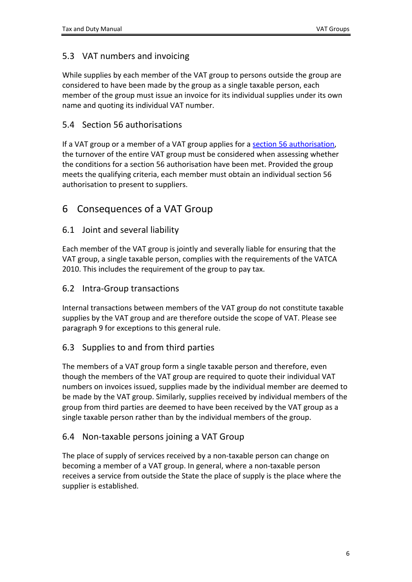## <span id="page-5-0"></span>5.3 VAT numbers and invoicing

While supplies by each member of the VAT group to persons outside the group are considered to have been made by the group as a single taxable person, each member of the group must issue an invoice for its individual supplies under its own name and quoting its individual VAT number.

## <span id="page-5-1"></span>5.4 Section 56 authorisations

If a VAT group or a member of a VAT group applies for a [section](https://www.revenue.ie/en/vat/goods-and-services-to-and-from-abroad/zero-rating-of-goods-and-services/index.aspx) [56](https://www.revenue.ie/en/vat/goods-and-services-to-and-from-abroad/zero-rating-of-goods-and-services/index.aspx) [authorisation](https://www.revenue.ie/en/vat/goods-and-services-to-and-from-abroad/zero-rating-of-goods-and-services/index.aspx), the turnover of the entire VAT group must be considered when assessing whether the conditions for a section 56 authorisation have been met. Provided the group meets the qualifying criteria, each member must obtain an individual section 56 authorisation to present to suppliers.

# <span id="page-5-2"></span>6 Consequences of a VAT Group

## <span id="page-5-3"></span>6.1 Joint and several liability

Each member of the VAT group is jointly and severally liable for ensuring that the VAT group, a single taxable person, complies with the requirements of the VATCA 2010. This includes the requirement of the group to pay tax.

## <span id="page-5-4"></span>6.2 Intra-Group transactions

Internal transactions between members of the VAT group do not constitute taxable supplies by the VAT group and are therefore outside the scope of VAT. Please see paragraph 9 for exceptions to this general rule.

## <span id="page-5-5"></span>6.3 Supplies to and from third parties

The members of a VAT group form a single taxable person and therefore, even though the members of the VAT group are required to quote their individual VAT numbers on invoices issued, supplies made by the individual member are deemed to be made by the VAT group. Similarly, supplies received by individual members of the group from third parties are deemed to have been received by the VAT group as a single taxable person rather than by the individual members of the group.

## <span id="page-5-6"></span>6.4 Non-taxable persons joining a VAT Group

The place of supply of services received by a non-taxable person can change on becoming a member of a VAT group. In general, where a non-taxable person receives a service from outside the State the place of supply is the place where the supplier is established.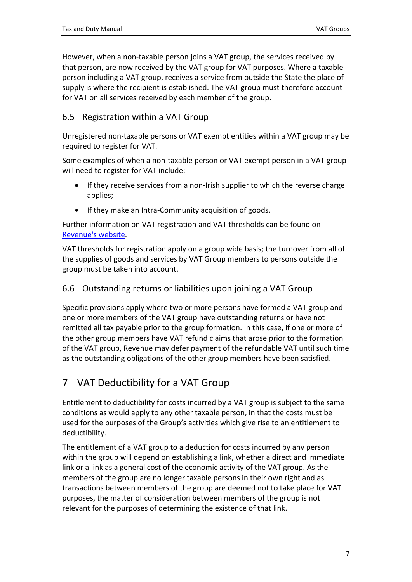However, when a non-taxable person joins a VAT group, the services received by that person, are now received by the VAT group for VAT purposes. Where a taxable person including a VAT group, receives a service from outside the State the place of supply is where the recipient is established. The VAT group must therefore account for VAT on all services received by each member of the group.

## <span id="page-6-0"></span>6.5 Registration within a VAT Group

Unregistered non-taxable persons or VAT exempt entities within a VAT group may be required to register for VAT.

Some examples of when a non-taxable person or VAT exempt person in a VAT group will need to register for VAT include:

- If they receive services from a non-Irish supplier to which the reverse charge applies;
- If they make an Intra-Community acquisition of goods.

Further information on VAT registration and VAT thresholds can be found on [Revenue's](https://www.revenue.ie/en/vat/vat-registration/index.aspx) [website.](https://www.revenue.ie/en/vat/vat-registration/index.aspx)

VAT thresholds for registration apply on a group wide basis; the turnover from all of the supplies of goods and services by VAT Group members to persons outside the group must be taken into account.

## <span id="page-6-1"></span>6.6 Outstanding returns or liabilities upon joining a VAT Group

Specific provisions apply where two or more persons have formed a VAT group and one or more members of the VAT group have outstanding returns or have not remitted all tax payable prior to the group formation. In this case, if one or more of the other group members have VAT refund claims that arose prior to the formation of the VAT group, Revenue may defer payment of the refundable VAT until such time as the outstanding obligations of the other group members have been satisfied.

# <span id="page-6-2"></span>7 VAT Deductibility for a VAT Group

Entitlement to deductibility for costs incurred by a VAT group is subject to the same conditions as would apply to any other taxable person, in that the costs must be used for the purposes of the Group's activities which give rise to an entitlement to deductibility.

The entitlement of a VAT group to a deduction for costs incurred by any person within the group will depend on establishing a link, whether a direct and immediate link or a link as a general cost of the economic activity of the VAT group. As the members of the group are no longer taxable persons in their own right and as transactions between members of the group are deemed not to take place for VAT purposes, the matter of consideration between members of the group is not relevant for the purposes of determining the existence of that link.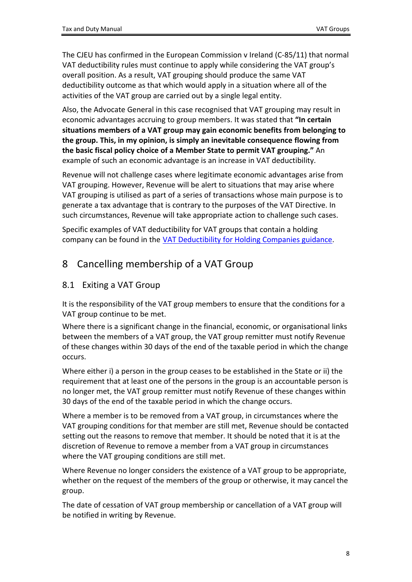The CJEU has confirmed in the European Commission v Ireland (C-85/11) that normal VAT deductibility rules must continue to apply while considering the VAT group's overall position. As a result, VAT grouping should produce the same VAT deductibility outcome as that which would apply in a situation where all of the activities of the VAT group are carried out by a single legal entity.

Also, the Advocate General in this case recognised that VAT grouping may result in economic advantages accruing to group members. It was stated that **"In certain situations members of a VAT group may gain economic benefits from belonging to the group. This, in my opinion, is simply an inevitable consequence flowing from the basic fiscal policy choice of a Member State to permit VAT grouping."** An example of such an economic advantage is an increase in VAT deductibility.

Revenue will not challenge cases where legitimate economic advantages arise from VAT grouping. However, Revenue will be alert to situations that may arise where VAT grouping is utilised as part of a series of transactions whose main purpose is to generate a tax advantage that is contrary to the purposes of the VAT Directive. In such circumstances, Revenue will take appropriate action to challenge such cases.

Specific examples of VAT deductibility for VAT groups that contain a holding company can be found in the [VAT](https://www.revenue.ie/en/tax-professionals/tdm/value-added-tax/part03-taxable-transactions-goods-ica-services/Financial-Services/vat-deductibility-for-holding-companies.pdf) [Deductibility](https://www.revenue.ie/en/tax-professionals/tdm/value-added-tax/part03-taxable-transactions-goods-ica-services/Financial-Services/vat-deductibility-for-holding-companies.pdf) [for](https://www.revenue.ie/en/tax-professionals/tdm/value-added-tax/part03-taxable-transactions-goods-ica-services/Financial-Services/vat-deductibility-for-holding-companies.pdf) [Holding](https://www.revenue.ie/en/tax-professionals/tdm/value-added-tax/part03-taxable-transactions-goods-ica-services/Financial-Services/vat-deductibility-for-holding-companies.pdf) [Companies](https://www.revenue.ie/en/tax-professionals/tdm/value-added-tax/part03-taxable-transactions-goods-ica-services/Financial-Services/vat-deductibility-for-holding-companies.pdf) [guidance](https://www.revenue.ie/en/tax-professionals/tdm/value-added-tax/part03-taxable-transactions-goods-ica-services/Financial-Services/vat-deductibility-for-holding-companies.pdf).

# <span id="page-7-0"></span>8 Cancelling membership of a VAT Group

## <span id="page-7-1"></span>8.1 Exiting a VAT Group

It is the responsibility of the VAT group members to ensure that the conditions for a VAT group continue to be met.

Where there is a significant change in the financial, economic, or organisational links between the members of a VAT group, the VAT group remitter must notify Revenue of these changes within 30 days of the end of the taxable period in which the change occurs.

Where either i) a person in the group ceases to be established in the State or ii) the requirement that at least one of the persons in the group is an accountable person is no longer met, the VAT group remitter must notify Revenue of these changes within 30 days of the end of the taxable period in which the change occurs.

Where a member is to be removed from a VAT group, in circumstances where the VAT grouping conditions for that member are still met, Revenue should be contacted setting out the reasons to remove that member. It should be noted that it is at the discretion of Revenue to remove a member from a VAT group in circumstances where the VAT grouping conditions are still met.

Where Revenue no longer considers the existence of a VAT group to be appropriate, whether on the request of the members of the group or otherwise, it may cancel the group.

The date of cessation of VAT group membership or cancellation of a VAT group will be notified in writing by Revenue.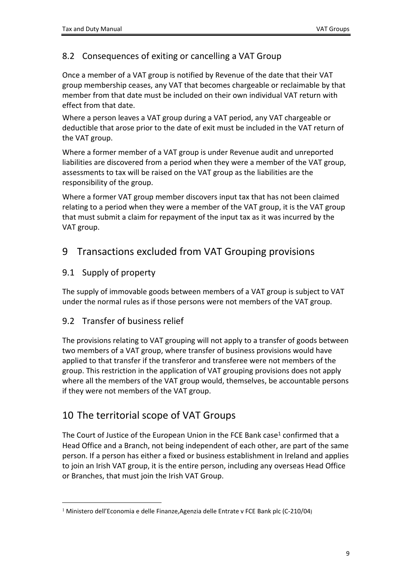## <span id="page-8-0"></span>8.2 Consequences of exiting or cancelling a VAT Group

Once a member of a VAT group is notified by Revenue of the date that their VAT group membership ceases, any VAT that becomes chargeable or reclaimable by that member from that date must be included on their own individual VAT return with effect from that date.

Where a person leaves a VAT group during a VAT period, any VAT chargeable or deductible that arose prior to the date of exit must be included in the VAT return of the VAT group.

Where a former member of a VAT group is under Revenue audit and unreported liabilities are discovered from a period when they were a member of the VAT group, assessments to tax will be raised on the VAT group as the liabilities are the responsibility of the group.

Where a former VAT group member discovers input tax that has not been claimed relating to a period when they were a member of the VAT group, it is the VAT group that must submit a claim for repayment of the input tax as it was incurred by the VAT group.

## <span id="page-8-1"></span>9 Transactions excluded from VAT Grouping provisions

## <span id="page-8-2"></span>9.1 Supply of property

The supply of immovable goods between members of a VAT group is subject to VAT under the normal rules as if those persons were not members of the VAT group.

## <span id="page-8-3"></span>9.2 Transfer of business relief

The provisions relating to VAT grouping will not apply to a transfer of goods between two members of a VAT group, where transfer of business provisions would have applied to that transfer if the transferor and transferee were not members of the group. This restriction in the application of VAT grouping provisions does not apply where all the members of the VAT group would, themselves, be accountable persons if they were not members of the VAT group.

# <span id="page-8-4"></span>10 The territorial scope of VAT Groups

The Court of Justice of the European Union in the FCE Bank case<sup>1</sup> confirmed that a Head Office and a Branch, not being independent of each other, are part of the same person. If a person has either a fixed or business establishment in Ireland and applies to join an Irish VAT group, it is the entire person, including any overseas Head Office or Branches, that must join the Irish VAT Group.

<sup>&</sup>lt;sup>1</sup> Ministero dell'Economia e delle Finanze, Agenzia delle Entrate v FCE Bank plc (C-210/04)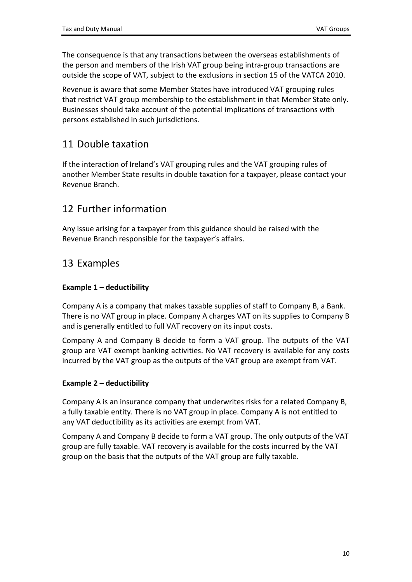The consequence is that any transactions between the overseas establishments of the person and members of the Irish VAT group being intra-group transactions are outside the scope of VAT, subject to the exclusions in section 15 of the VATCA 2010.

Revenue is aware that some Member States have introduced VAT grouping rules that restrict VAT group membership to the establishment in that Member State only. Businesses should take account of the potential implications of transactions with persons established in such jurisdictions.

# <span id="page-9-0"></span>11 Double taxation

If the interaction of Ireland's VAT grouping rules and the VAT grouping rules of another Member State results in double taxation for a taxpayer, please contact your Revenue Branch.

# <span id="page-9-1"></span>12 Further information

Any issue arising for a taxpayer from this guidance should be raised with the Revenue Branch responsible for the taxpayer's affairs.

# <span id="page-9-2"></span>13 Examples

## **Example 1 – deductibility**

Company A is a company that makes taxable supplies of staff to Company B, a Bank. There is no VAT group in place. Company A charges VAT on its supplies to Company B and is generally entitled to full VAT recovery on its input costs.

Company A and Company B decide to form a VAT group. The outputs of the VAT group are VAT exempt banking activities. No VAT recovery is available for any costs incurred by the VAT group as the outputs of the VAT group are exempt from VAT.

## **Example 2 – deductibility**

Company A is an insurance company that underwrites risks for a related Company B, a fully taxable entity. There is no VAT group in place. Company A is not entitled to any VAT deductibility as its activities are exempt from VAT.

Company A and Company B decide to form a VAT group. The only outputs of the VAT group are fully taxable. VAT recovery is available for the costs incurred by the VAT group on the basis that the outputs of the VAT group are fully taxable.